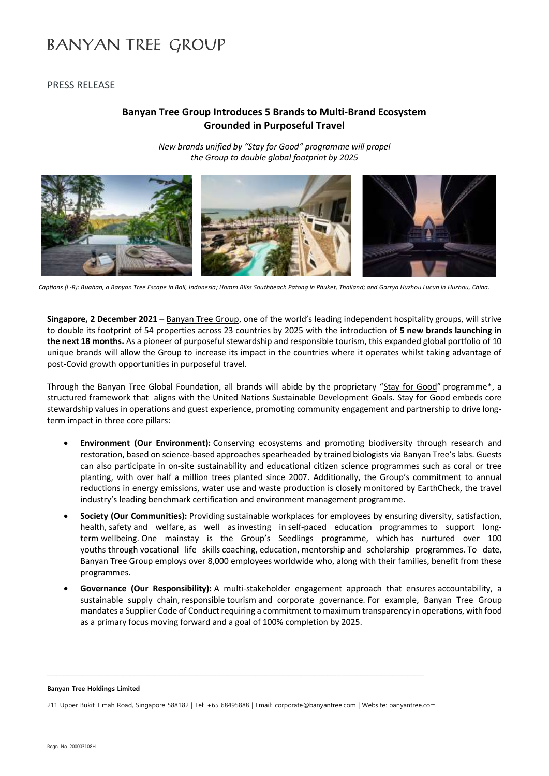## **BANYAN TREE GROUP**

PRESS RELEASE

### **Banyan Tree Group Introduces 5 Brands to Multi-Brand Ecosystem Grounded in Purposeful Travel**

*New brands unified by "Stay for Good" programme will propel the Group to double global footprint by 2025*



*Captions (L-R): Buahan, a Banyan Tree Escape in Bali, Indonesia; Homm Bliss Southbeach Patong in Phuket, Thailand; and Garrya Huzhou Lucun in Huzhou, China.*

**Singapore, 2 December 2021** – [Banyan Tree Group](https://www.banyantree.com/en/?utm_medium=pressrelease&utm_source=pressrelease&utm_campaign=2Dec21_MultibrandEcosystem), one of the world's leading independent hospitality groups, will strive to double its footprint of 54 properties across 23 countries by 2025 with the introduction of **5 new brands launching in the next 18 months.** As a pioneer of purposeful stewardship and responsible tourism, this expanded global portfolio of 10 unique brands will allow the Group to increase its impact in the countries where it operates whilst taking advantage of post-Covid growth opportunities in purposeful travel.

Through the Banyan Tree Global Foundation, all brands will abide by the proprietary "[Stay for Good](https://www.banyantreeglobalfoundation.com/stay-for-good/)" programme\*, a structured framework that aligns with the United Nations Sustainable Development Goals. Stay for Good embeds core stewardship values in operations and guest experience, promoting community engagement and partnership to drive longterm impact in three core pillars:

- **Environment (Our Environment):** Conserving ecosystems and promoting biodiversity through research and restoration, based on science-based approaches spearheaded by trained biologists via Banyan Tree's labs. Guests can also participate in on-site sustainability and educational citizen science programmes such as coral or tree planting, with over half a million trees planted since 2007. Additionally, the Group's commitment to annual reductions in energy emissions, water use and waste production is closely monitored by EarthCheck, the travel industry's leading benchmark certification and environment management programme.
- **Society (Our Communities):** Providing sustainable workplaces for employees by ensuring diversity, satisfaction, health, safety and welfare, as well as investing in self-paced education programmes to support longterm wellbeing. One mainstay is the Group's Seedlings programme, which has nurtured over 100 youths through vocational life skills coaching, education, mentorship and scholarship programmes. To date, Banyan Tree Group employs over 8,000 employees worldwide who, along with their families, benefit from these programmes.
- **Governance (Our Responsibility):** A multi-stakeholder engagement approach that ensures accountability, a sustainable supply chain, responsible tourism and corporate governance. For example, Banyan Tree Group mandates a Supplier Code of Conduct requiring a commitment to maximum transparency in operations, with food as a primary focus moving forward and a goal of 100% completion by 2025.

**Banyan Tree Holdings Limited**

211 Upper Bukit Timah Road, Singapore 588182 | Tel: +65 68495888 | Email: corporate@banyantree.com | Website: banyantree.com

**\_\_\_\_\_\_\_\_\_\_\_\_\_\_\_\_\_\_\_\_\_\_\_\_\_\_\_\_\_\_\_\_\_\_\_\_\_\_\_\_\_\_\_\_\_\_\_\_\_\_\_\_\_\_\_\_\_\_\_\_\_\_\_\_\_\_\_\_\_\_\_\_\_\_\_\_\_\_\_\_\_\_\_\_\_\_\_\_\_\_\_\_\_\_\_\_\_\_\_\_\_\_\_\_\_\_\_\_\_\_\_\_\_\_\_\_\_\_\_\_\_\_\_\_\_\_\_\_\_\_\_\_\_\_\_\_\_\_\_\_\_\_\_\_\_\_\_\_\_\_\_\_\_\_\_\_\_\_\_\_**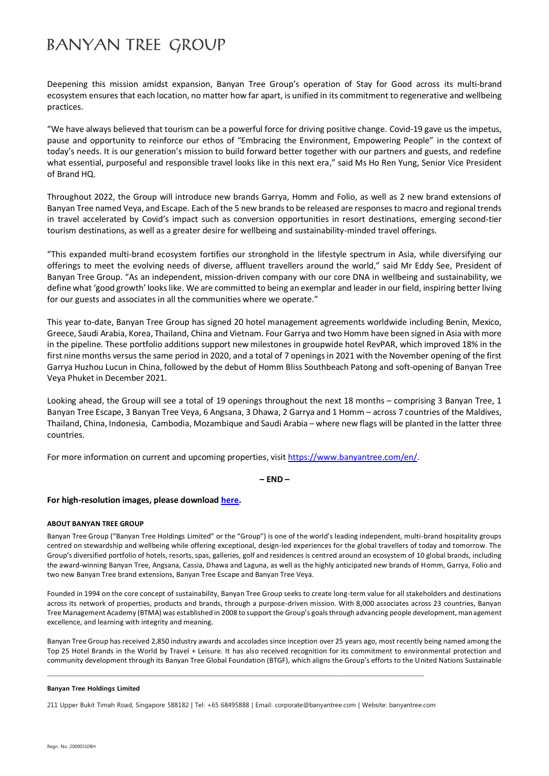# **BANYAN TREE GROUP**

Deepening this mission amidst expansion, Banyan Tree Group's operation of Stay for Good across its multi-brand ecosystem ensures that each location, no matter how far apart, is unified in its commitment to regenerative and wellbeing practices.

"We have always believed that tourism can be a powerful force for driving positive change. Covid-19 gave us the impetus, pause and opportunity to reinforce our ethos of "Embracing the Environment, Empowering People" in the context of today's needs. It is our generation's mission to build forward better together with our partners and guests, and redefine what essential, purposeful and responsible travel looks like in this next era," said Ms Ho Ren Yung, Senior Vice President of Brand HQ.

Throughout 2022, the Group will introduce new brands Garrya, Homm and Folio, as well as 2 new brand extensions of Banyan Tree named Veya, and Escape. Each of the 5 new brands to be released are responses to macro and regional trends in travel accelerated by Covid's impact such as conversion opportunities in resort destinations, emerging second-tier tourism destinations, as well as a greater desire for wellbeing and sustainability-minded travel offerings.

"This expanded multi-brand ecosystem fortifies our stronghold in the lifestyle spectrum in Asia, while diversifying our offerings to meet the evolving needs of diverse, affluent travellers around the world," said Mr Eddy See, President of Banyan Tree Group. "As an independent, mission-driven company with our core DNA in wellbeing and sustainability, we define what 'good growth' looks like. We are committed to being an exemplar and leader in our field, inspiring better living for our guests and associates in all the communities where we operate."

This year to-date, Banyan Tree Group has signed 20 hotel management agreements worldwide including Benin, Mexico, Greece, Saudi Arabia, Korea, Thailand, China and Vietnam. Four Garrya and two Homm have been signed in Asia with more in the pipeline. These portfolio additions support new milestones in groupwide hotel RevPAR, which improved 18% in the first nine months versus the same period in 2020, and a total of 7 openingsin 2021 with the November opening of the first Garrya Huzhou Lucun in China, followed by the debut of Homm Bliss Southbeach Patong and soft-opening of Banyan Tree Veya Phuket in December 2021.

Looking ahead, the Group will see a total of 19 openings throughout the next 18 months – comprising 3 Banyan Tree, 1 Banyan Tree Escape, 3 Banyan Tree Veya, 6 Angsana, 3 Dhawa, 2 Garrya and 1 Homm – across 7 countries of the Maldives, Thailand, China, Indonesia, Cambodia, Mozambique and Saudi Arabia – where new flags will be planted in the latter three countries.

For more information on current and upcoming properties, visi[t https://www.banyantree.com/en/.](https://www.banyantree.com/en/?utm_medium=pressrelease&utm_source=pressrelease&utm_campaign=2Dec21_MultibrandEcosystem)

**– END –**

### **For high-resolution images, please downloa[d here.](https://www.dropbox.com/sh/v4bgmjm6wkl5c2b/AACFHqGCQAbyxnfkk6vkX6k1a?dl=0)**

### **ABOUT BANYAN TREE GROUP**

Banyan Tree Group ("Banyan Tree Holdings Limited" or the "Group") is one of the world's leading independent, multi-brand hospitality groups centred on stewardship and wellbeing while offering exceptional, design-led experiences for the global travellers of today and tomorrow. The Group's diversified portfolio of hotels, resorts, spas, galleries, golf and residences is centred around an ecosystem of 10 global brands, including the award-winning Banyan Tree, Angsana, Cassia, Dhawa and Laguna, as well as the highly anticipated new brands of Homm, Garrya, Folio and two new Banyan Tree brand extensions, Banyan Tree Escape and Banyan Tree Veya.

Founded in 1994 on the core concept of sustainability, Banyan Tree Group seeks to create long-term value for all stakeholders and destinations across its network of properties, products and brands, through a purpose-driven mission. With 8,000 associates across 23 countries, Banyan Tree Management Academy (BTMA) was established in 2008 to support the Group's goals through advancing people development, management excellence, and learning with integrity and meaning.

Banyan Tree Group has received 2,850 industry awards and accolades since inception over 25 years ago, most recently being named among the Top 25 Hotel Brands in the World by Travel + Leisure. It has also received recognition for its commitment to environmental protection and community development through its Banyan Tree Global Foundation (BTGF), which aligns the Group's efforts to the United Nations Sustainable

#### **Banyan Tree Holdings Limited**

211 Upper Bukit Timah Road, Singapore 588182 | Tel: +65 68495888 | Email: corporate@banyantree.com | Website: banyantree.com

**\_\_\_\_\_\_\_\_\_\_\_\_\_\_\_\_\_\_\_\_\_\_\_\_\_\_\_\_\_\_\_\_\_\_\_\_\_\_\_\_\_\_\_\_\_\_\_\_\_\_\_\_\_\_\_\_\_\_\_\_\_\_\_\_\_\_\_\_\_\_\_\_\_\_\_\_\_\_\_\_\_\_\_\_\_\_\_\_\_\_\_\_\_\_\_\_\_\_\_\_\_\_\_\_\_\_\_\_\_\_\_\_\_\_\_\_\_\_\_\_\_\_\_\_\_\_\_\_\_\_\_\_\_\_\_\_\_\_\_\_\_\_\_\_\_\_\_\_\_\_\_\_\_\_\_\_\_\_\_\_**